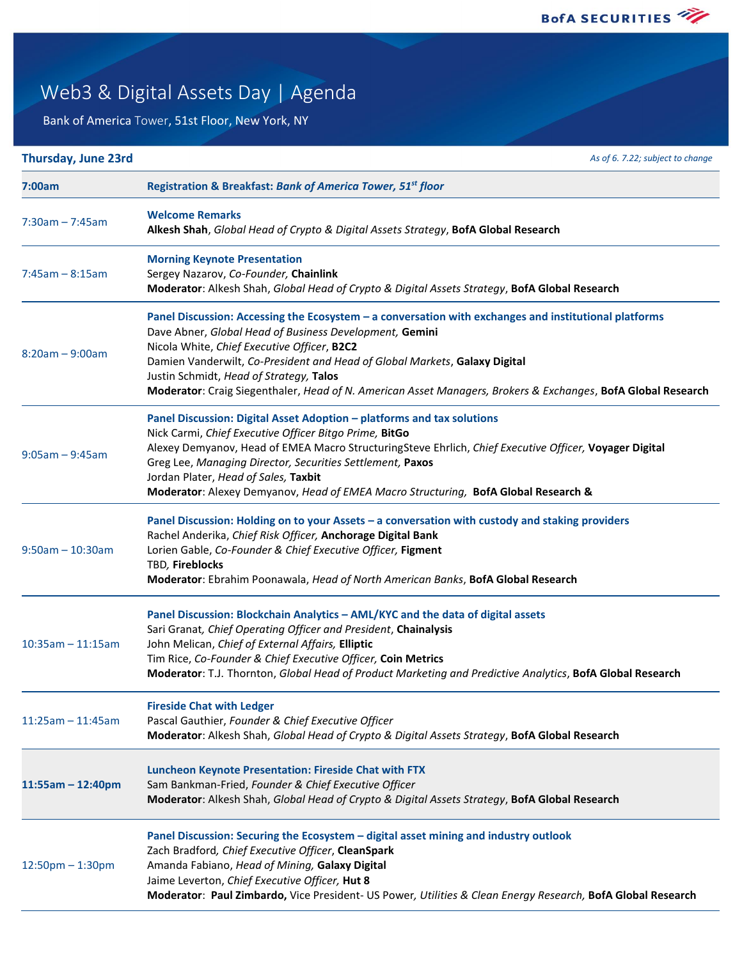

## Web3 & Digital Assets Day | Agenda

Bank of America Tower, 51st Floor, New York, NY

| Thursday, June 23rd    | As of 6. 7.22; subject to change                                                                                                                                                                                                                                                                                                                                                                                                                         |
|------------------------|----------------------------------------------------------------------------------------------------------------------------------------------------------------------------------------------------------------------------------------------------------------------------------------------------------------------------------------------------------------------------------------------------------------------------------------------------------|
| 7:00am                 | Registration & Breakfast: Bank of America Tower, 51 <sup>st</sup> floor                                                                                                                                                                                                                                                                                                                                                                                  |
| $7:30am - 7:45am$      | <b>Welcome Remarks</b><br>Alkesh Shah, Global Head of Crypto & Digital Assets Strategy, BofA Global Research                                                                                                                                                                                                                                                                                                                                             |
| $7:45am - 8:15am$      | <b>Morning Keynote Presentation</b><br>Sergey Nazarov, Co-Founder, Chainlink<br>Moderator: Alkesh Shah, Global Head of Crypto & Digital Assets Strategy, BofA Global Research                                                                                                                                                                                                                                                                            |
| $8:20am - 9:00am$      | Panel Discussion: Accessing the Ecosystem - a conversation with exchanges and institutional platforms<br>Dave Abner, Global Head of Business Development, Gemini<br>Nicola White, Chief Executive Officer, B2C2<br>Damien Vanderwilt, Co-President and Head of Global Markets, Galaxy Digital<br>Justin Schmidt, Head of Strategy, Talos<br>Moderator: Craig Siegenthaler, Head of N. American Asset Managers, Brokers & Exchanges, BofA Global Research |
| $9:05am - 9:45am$      | Panel Discussion: Digital Asset Adoption - platforms and tax solutions<br>Nick Carmi, Chief Executive Officer Bitgo Prime, BitGo<br>Alexey Demyanov, Head of EMEA Macro StructuringSteve Ehrlich, Chief Executive Officer, Voyager Digital<br>Greg Lee, Managing Director, Securities Settlement, Paxos<br>Jordan Plater, Head of Sales, Taxbit<br>Moderator: Alexey Demyanov, Head of EMEA Macro Structuring, BofA Global Research &                    |
| $9:50am - 10:30am$     | Panel Discussion: Holding on to your Assets - a conversation with custody and staking providers<br>Rachel Anderika, Chief Risk Officer, Anchorage Digital Bank<br>Lorien Gable, Co-Founder & Chief Executive Officer, Figment<br>TBD, Fireblocks<br>Moderator: Ebrahim Poonawala, Head of North American Banks, BofA Global Research                                                                                                                     |
| $10:35am - 11:15am$    | Panel Discussion: Blockchain Analytics - AML/KYC and the data of digital assets<br>Sari Granat, Chief Operating Officer and President, Chainalysis<br>John Melican, Chief of External Affairs, Elliptic<br>Tim Rice, Co-Founder & Chief Executive Officer, Coin Metrics<br>Moderator: T.J. Thornton, Global Head of Product Marketing and Predictive Analytics, BofA Global Research                                                                     |
| $11:25am - 11:45am$    | <b>Fireside Chat with Ledger</b><br>Pascal Gauthier, Founder & Chief Executive Officer<br>Moderator: Alkesh Shah, Global Head of Crypto & Digital Assets Strategy, BofA Global Research                                                                                                                                                                                                                                                                  |
| $11:55am - 12:40pm$    | Luncheon Keynote Presentation: Fireside Chat with FTX<br>Sam Bankman-Fried, Founder & Chief Executive Officer<br>Moderator: Alkesh Shah, Global Head of Crypto & Digital Assets Strategy, BofA Global Research                                                                                                                                                                                                                                           |
| $12:50$ pm $- 1:30$ pm | Panel Discussion: Securing the Ecosystem - digital asset mining and industry outlook<br>Zach Bradford, Chief Executive Officer, CleanSpark<br>Amanda Fabiano, Head of Mining, Galaxy Digital<br>Jaime Leverton, Chief Executive Officer, Hut 8<br>Moderator: Paul Zimbardo, Vice President- US Power, Utilities & Clean Energy Research, BofA Global Research                                                                                            |